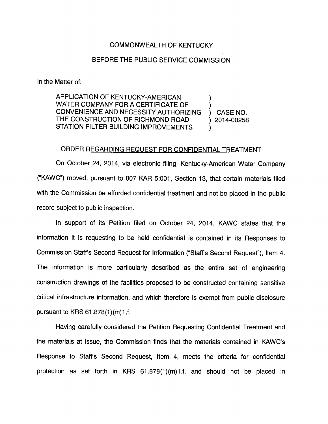## COMMONWEALTH OF KENTUCKY

## BEFORE THE PUBLIC SERVICE COMMISSION

In the Matter of:

APPLICATION OF KENTUCKY-AMERICAN WATER COMPANY FOR A CERTIFICATE OF ) CONVENIENCE AND NECESSITY AUTHORIZING ) CASE NO. THECONSTRUCTION OF RICHMOND ROAD ) 2014-00258 STATION FILTER BUILDING IMPROVEMENTS

## ORDER REGARDING REQUEST FOR CONFIDENTIAL TREATMENT

On October 24, 2014, via electronic filing, Kentucky-American Water Company ("KAWC") moved, pursuant to 807 KAR 5:001, Section 13, that certain materials filed with the Commission be afforded confidential treatment and not be placed in the public record subject to public inspection.

In support of its Petition filed on October 24, 2014, KAWC states that the information it is requesting to be held confidential is contained in its Responses to Commission Staff's Second Request for Information ("Staff's Second Request"), Item 4. The information is more particularly described as the entire set of engineering construction drawings of the facilities proposed to be constructed containing sensitive critical infrastructure information, and which therefore is exempt from public disclosure pursuant to KRS 61.878(1)(m)1.f.

Having carefully considered the Petition Requesting Confidential Treatment and the materials at issue, the Commission finds that the materials contained in KAWC's Response to Staffs Second Request, Item 4, meets the criteria for confidential protection as set forth in KRS  $61.878(1)(m)1.f.$  and should not be placed in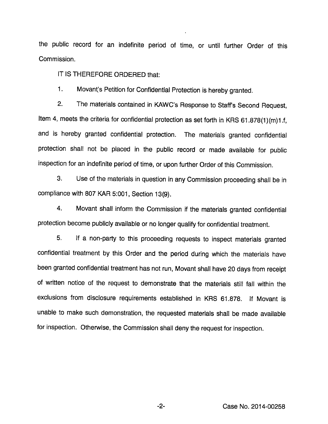the public record for an indefinite period of time, or until further Order of this Commission.

IT IS THEREFORE ORDERED that:

1. Movant's Petition for Confidential Protection is hereby granted.

2. The materials contained in KAWC's Response to Staffs Second Request, Item 4, meets the criteria for confidential protection as set forth in KRS 61.878(1)(m)1.f, and is hereby granted confidential protection. The materials granted confidential protection shall not be placed in the public record or made available for public inspection for an indefinite period of time, or upon further Order of this Commission.

3. Use of the materials in question in any Commission proceeding shall be in compliance with 807 KAR 5:001, Section 13(9).

4. Movant shall inform the Commission if the materials granted confidential protection become publicly available or no longer qualify for confidential treatment.

5. If a non-party to this proceeding requests to inspect materials granted confidential treatment by this Order and the period during which the materials have been granted confidential treatment has not run, Movant shall have 20 days from receipt of written notice of the request to demonstrate that the materials still fall within the exclusions from disclosure requirements established in KRS 61.878. if Movant is unable to make such demonstration, the requested materials shall be made available for inspection. Otherwise, the Commission shall deny the request for inspection.

Case No. 2014-00258

 $-2-$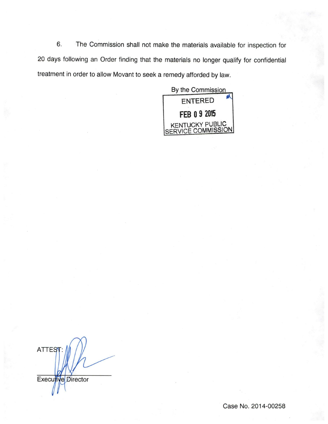6. The Commission shall not make the materials available for inspection for 20 days following an Order finding that the materials no longer qualify for confidential treatment in order to allow Movant to seek a remedy afforded by law.

By the Commission entered FEB 0 9 2015 A KENTUCKY PUBLIC COMMISSION

**ATTES** Executive Director

Case No. 2014-00258